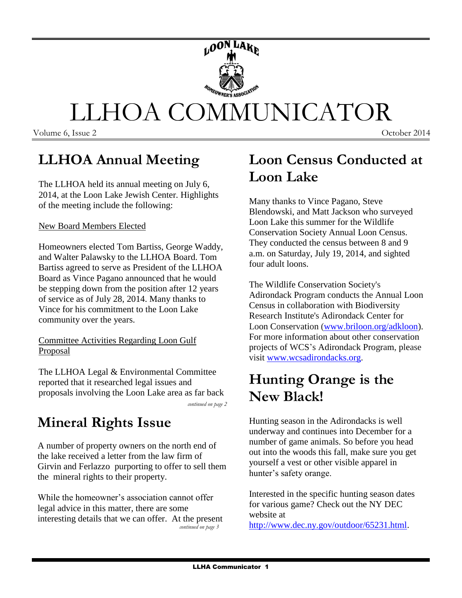

## **LLHOA Annual Meeting**

The LLHOA held its annual meeting on July 6, 2014, at the Loon Lake Jewish Center. Highlights of the meeting include the following:

#### New Board Members Elected

Homeowners elected Tom Bartiss, George Waddy, and Walter Palawsky to the LLHOA Board. Tom Bartiss agreed to serve as President of the LLHOA Board as Vince Pagano announced that he would be stepping down from the position after 12 years of service as of July 28, 2014. Many thanks to Vince for his commitment to the Loon Lake community over the years.

#### Committee Activities Regarding Loon Gulf **Proposal**

The LLHOA Legal & Environmental Committee reported that it researched legal issues and proposals involving the Loon Lake area as far back

*continued on page 2*

### **Mineral Rights Issue**

A number of property owners on the north end of the lake received a letter from the law firm of Girvin and Ferlazzo purporting to offer to sell them the mineral rights to their property.

While the homeowner's association cannot offer legal advice in this matter, there are some interesting details that we can offer. At the present *continued on page 3*

### **Loon Census Conducted at Loon Lake**

Many thanks to Vince Pagano, Steve Blendowski, and Matt Jackson who surveyed Loon Lake this summer for the Wildlife Conservation Society Annual Loon Census. They conducted the census between 8 and 9 a.m. on Saturday, July 19, 2014, and sighted four adult loons.

The Wildlife Conservation Society's Adirondack Program conducts the Annual Loon Census in collaboration with Biodiversity Research Institute's Adirondack Center for Loon Conservation [\(www.briloon.org/adkloon\)](http://www.briloon.org/adkloon). For more information about other conservation projects of WCS's Adirondack Program, please visit [www.wcsadirondacks.org.](http://www.wcsadirondacks.org/)

### **Hunting Orange is the New Black!**

Hunting season in the Adirondacks is well underway and continues into December for a number of game animals. So before you head out into the woods this fall, make sure you get yourself a vest or other visible apparel in hunter's safety orange.

Interested in the specific hunting season dates for various game? Check out the NY DEC website at

[http://www.dec.ny.gov/outdoor/65231.html.](http://www.dec.ny.gov/outdoor/65231.html)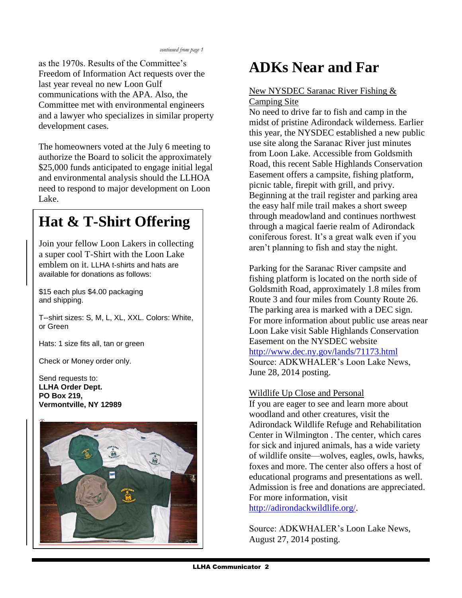as the 1970s. Results of the Committee's Freedom of Information Act requests over the last year reveal no new Loon Gulf communications with the APA. Also, the Committee met with environmental engineers and a lawyer who specializes in similar property development cases.

The homeowners voted at the July 6 meeting to authorize the Board to solicit the approximately \$25,000 funds anticipated to engage initial legal and environmental analysis should the LLHOA need to respond to major development on Loon Lake.

# **Hat & T-Shirt Offering**

Join your fellow Loon Lakers in collecting a super cool T-Shirt with the Loon Lake emblem on it. LLHA t-shirts and hats are available for donations as follows:

\$15 each plus \$4.00 packaging and shipping.

or Green T--shirt sizes: S, M, L, XL, XXL. Colors: White,

Hats: 1 size fits all, tan or green

Check or Money order only.

Send requests to: **LLHA Order Dept. PO Box 219, Vermontville, NY 12989**



## **ADKs Near and Far**

#### New NYSDEC Saranac River Fishing & Camping Site

No need to drive far to fish and camp in the midst of pristine Adirondack wilderness. Earlier this year, the NYSDEC established a new public use site along the Saranac River just minutes from Loon Lake. Accessible from Goldsmith Road, this recent Sable Highlands Conservation Easement offers a campsite, fishing platform, picnic table, firepit with grill, and privy. Beginning at the trail register and parking area the easy half mile trail makes a short sweep through meadowland and continues northwest through a magical faerie realm of Adirondack coniferous forest. It's a great walk even if you aren't planning to fish and stay the night.

Parking for the Saranac River campsite and fishing platform is located on the north side of Goldsmith Road, approximately 1.8 miles from Route 3 and four miles from County Route 26. The parking area is marked with a DEC sign. For more information about public use areas near Loon Lake visit Sable Highlands Conservation Easement on the NYSDEC website <http://www.dec.ny.gov/lands/71173.html> Source: ADKWHALER's Loon Lake News, June 28, 2014 posting.

#### Wildlife Up Close and Personal

If you are eager to see and learn more about woodland and other creatures, visit the Adirondack Wildlife Refuge and Rehabilitation Center in Wilmington . The center, which cares for sick and injured animals, has a wide variety of wildlife onsite—wolves, eagles, owls, hawks, foxes and more. The center also offers a host of educational programs and presentations as well. Admission is free and donations are appreciated. For more information, visit

[http://adirondackwildlife.org/.](http://adirondackwildlife.org/)

Source: ADKWHALER's Loon Lake News, August 27, 2014 posting.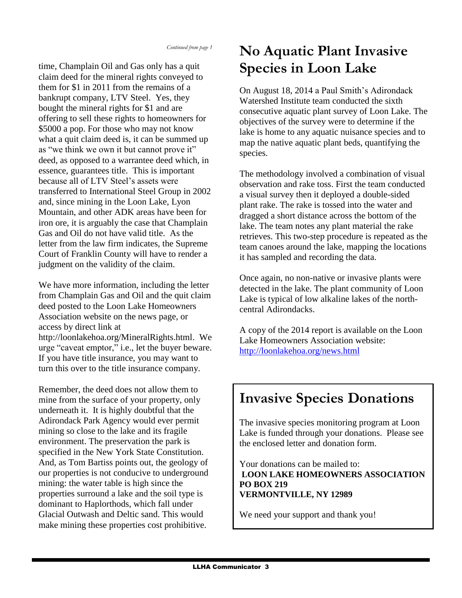time, Champlain Oil and Gas only has a quit claim deed for the mineral rights conveyed to them for \$1 in 2011 from the remains of a bankrupt company, LTV Steel. Yes, they bought the mineral rights for \$1 and are offering to sell these rights to homeowners for \$5000 a pop. For those who may not know what a quit claim deed is, it can be summed up as "we think we own it but cannot prove it" deed, as opposed to a warrantee deed which, in essence, guarantees title. This is important because all of LTV Steel's assets were transferred to International Steel Group in 2002 and, since mining in the Loon Lake, Lyon Mountain, and other ADK areas have been for iron ore, it is arguably the case that Champlain Gas and Oil do not have valid title. As the letter from the law firm indicates, the Supreme Court of Franklin County will have to render a judgment on the validity of the claim.

We have more information, including the letter from Champlain Gas and Oil and the quit claim deed posted to the Loon Lake Homeowners Association website on the news page, or access by direct link at [http://loonlakehoa.org/MineralRights.html.](http://loonlakehoa.org/MineralRights.html) We urge "caveat emptor," i.e., let the buyer beware. If you have title insurance, you may want to turn this over to the title insurance company.

Remember, the deed does not allow them to mine from the surface of your property, only underneath it. It is highly doubtful that the Adirondack Park Agency would ever permit mining so close to the lake and its fragile environment. The preservation the park is specified in the New York State Constitution. And, as Tom Bartiss points out, the geology of our properties is not conducive to underground mining: the water table is high since the properties surround a lake and the soil type is dominant to Haplorthods, which fall under Glacial Outwash and Deltic sand. This would make mining these properties cost prohibitive.

## **No Aquatic Plant Invasive Species in Loon Lake**

On August 18, 2014 a Paul Smith's Adirondack Watershed Institute team conducted the sixth consecutive aquatic plant survey of Loon Lake. The objectives of the survey were to determine if the lake is home to any aquatic nuisance species and to map the native aquatic plant beds, quantifying the species.

The methodology involved a combination of visual observation and rake toss. First the team conducted a visual survey then it deployed a double-sided plant rake. The rake is tossed into the water and dragged a short distance across the bottom of the lake. The team notes any plant material the rake retrieves. This two-step procedure is repeated as the team canoes around the lake, mapping the locations it has sampled and recording the data.

Once again, no non-native or invasive plants were detected in the lake. The plant community of Loon Lake is typical of low alkaline lakes of the northcentral Adirondacks.

A copy of the 2014 report is available on the Loon Lake Homeowners Association website: <http://loonlakehoa.org/news.html>

# **Invasive Species Donations**

The invasive species monitoring program at Loon Lake is funded through your donations. Please see the enclosed letter and donation form.

Your donations can be mailed to: **LOON LAKE HOMEOWNERS ASSOCIATION PO BOX 219 VERMONTVILLE, NY 12989**

We need your support and thank you!